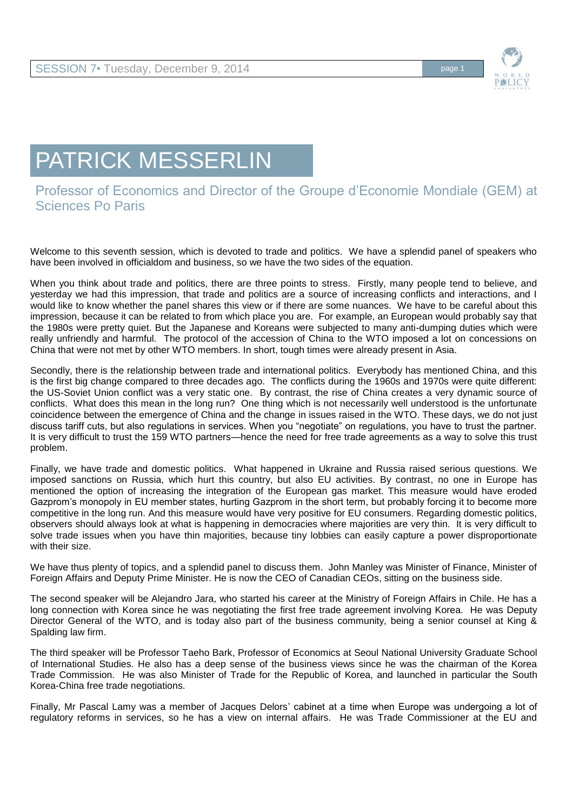

## PATRICK MESSERLIN

## Professor of Economics and Director of the Groupe d'Economie Mondiale (GEM) at Sciences Po Paris

Welcome to this seventh session, which is devoted to trade and politics. We have a splendid panel of speakers who have been involved in officialdom and business, so we have the two sides of the equation.

When you think about trade and politics, there are three points to stress. Firstly, many people tend to believe, and yesterday we had this impression, that trade and politics are a source of increasing conflicts and interactions, and I would like to know whether the panel shares this view or if there are some nuances. We have to be careful about this impression, because it can be related to from which place you are. For example, an European would probably say that the 1980s were pretty quiet. But the Japanese and Koreans were subjected to many anti-dumping duties which were really unfriendly and harmful. The protocol of the accession of China to the WTO imposed a lot on concessions on China that were not met by other WTO members. In short, tough times were already present in Asia.

Secondly, there is the relationship between trade and international politics. Everybody has mentioned China, and this is the first big change compared to three decades ago. The conflicts during the 1960s and 1970s were quite different: the US-Soviet Union conflict was a very static one. By contrast, the rise of China creates a very dynamic source of conflicts. What does this mean in the long run? One thing which is not necessarily well understood is the unfortunate coincidence between the emergence of China and the change in issues raised in the WTO. These days, we do not just discuss tariff cuts, but also regulations in services. When you "negotiate" on regulations, you have to trust the partner. It is very difficult to trust the 159 WTO partners—hence the need for free trade agreements as a way to solve this trust problem.

Finally, we have trade and domestic politics. What happened in Ukraine and Russia raised serious questions. We imposed sanctions on Russia, which hurt this country, but also EU activities. By contrast, no one in Europe has mentioned the option of increasing the integration of the European gas market. This measure would have eroded Gazprom's monopoly in EU member states, hurting Gazprom in the short term, but probably forcing it to become more competitive in the long run. And this measure would have very positive for EU consumers. Regarding domestic politics, observers should always look at what is happening in democracies where majorities are very thin. It is very difficult to solve trade issues when you have thin majorities, because tiny lobbies can easily capture a power disproportionate with their size.

We have thus plenty of topics, and a splendid panel to discuss them. John Manley was Minister of Finance, Minister of Foreign Affairs and Deputy Prime Minister. He is now the CEO of Canadian CEOs, sitting on the business side.

The second speaker will be Alejandro Jara, who started his career at the Ministry of Foreign Affairs in Chile. He has a long connection with Korea since he was negotiating the first free trade agreement involving Korea. He was Deputy Director General of the WTO, and is today also part of the business community, being a senior counsel at King & Spalding law firm.

The third speaker will be Professor Taeho Bark, Professor of Economics at Seoul National University Graduate School of International Studies. He also has a deep sense of the business views since he was the chairman of the Korea Trade Commission. He was also Minister of Trade for the Republic of Korea, and launched in particular the South Korea-China free trade negotiations.

Finally, Mr Pascal Lamy was a member of Jacques Delors' cabinet at a time when Europe was undergoing a lot of regulatory reforms in services, so he has a view on internal affairs. He was Trade Commissioner at the EU and